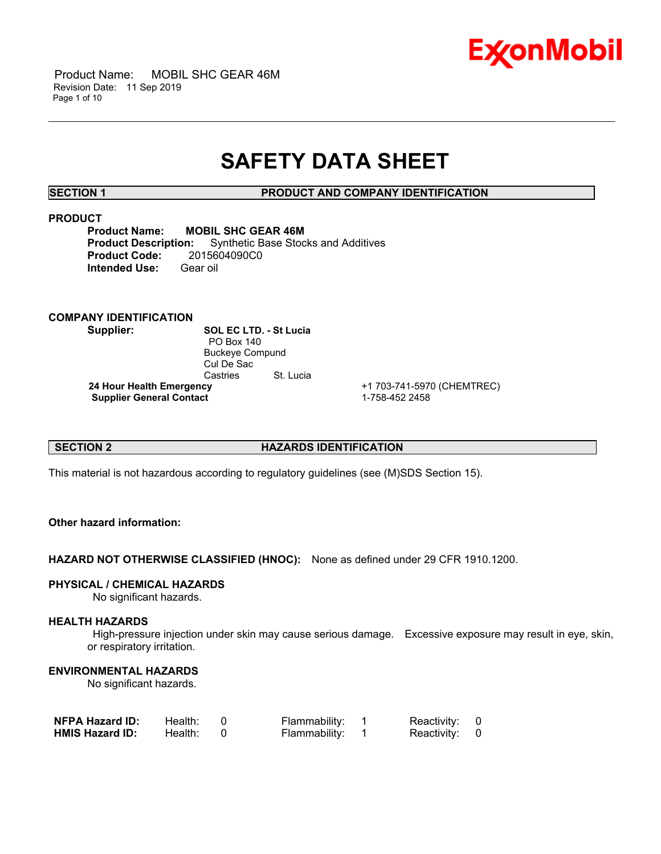

## **SAFETY DATA SHEET**

\_\_\_\_\_\_\_\_\_\_\_\_\_\_\_\_\_\_\_\_\_\_\_\_\_\_\_\_\_\_\_\_\_\_\_\_\_\_\_\_\_\_\_\_\_\_\_\_\_\_\_\_\_\_\_\_\_\_\_\_\_\_\_\_\_\_\_\_\_\_\_\_\_\_\_\_\_\_\_\_\_\_\_\_\_\_\_\_\_\_\_\_\_\_\_\_\_\_\_\_\_\_\_\_\_\_\_\_\_\_\_\_\_\_\_\_\_\_

**SECTION 1 PRODUCT AND COMPANY IDENTIFICATION**

#### **PRODUCT**

**Product Name: MOBIL SHC GEAR 46M**<br>**Product Description:** Synthetic Base Stoc **Synthetic Base Stocks and Additives Product Code:** 2015604090C0 **Intended Use:** Gear oil

## **COMPANY IDENTIFICATION**

**Supplier: SOL EC LTD. - St Lucia** PO Box 140 Buckeye Compund Cul De Sac Castries St. Lucia  **24 Hour Health Emergency** +1 703-741-5970 (CHEMTREC) **Supplier General Contact** 1-758-452 2458

#### **SECTION 2 HAZARDS IDENTIFICATION**

This material is not hazardous according to regulatory guidelines (see (M)SDS Section 15).

#### **Other hazard information:**

**HAZARD NOT OTHERWISE CLASSIFIED (HNOC):** None as defined under 29 CFR 1910.1200.

#### **PHYSICAL / CHEMICAL HAZARDS**

No significant hazards.

#### **HEALTH HAZARDS**

 High-pressure injection under skin may cause serious damage. Excessive exposure may result in eye, skin, or respiratory irritation.

#### **ENVIRONMENTAL HAZARDS**

No significant hazards.

| <b>NFPA Hazard ID:</b> | Health: | Flammability: | Reactivity: 0 |  |
|------------------------|---------|---------------|---------------|--|
| <b>HMIS Hazard ID:</b> | Health: | Flammability: | Reactivity: 0 |  |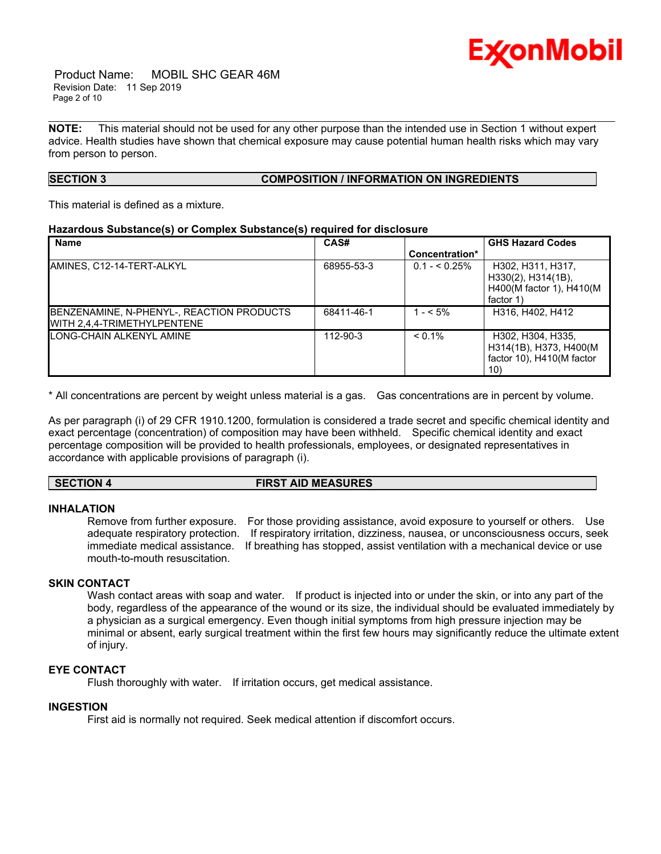

 Product Name: MOBIL SHC GEAR 46M Revision Date: 11 Sep 2019 Page 2 of 10

**NOTE:** This material should not be used for any other purpose than the intended use in Section 1 without expert advice. Health studies have shown that chemical exposure may cause potential human health risks which may vary from person to person.

\_\_\_\_\_\_\_\_\_\_\_\_\_\_\_\_\_\_\_\_\_\_\_\_\_\_\_\_\_\_\_\_\_\_\_\_\_\_\_\_\_\_\_\_\_\_\_\_\_\_\_\_\_\_\_\_\_\_\_\_\_\_\_\_\_\_\_\_\_\_\_\_\_\_\_\_\_\_\_\_\_\_\_\_\_\_\_\_\_\_\_\_\_\_\_\_\_\_\_\_\_\_\_\_\_\_\_\_\_\_\_\_\_\_\_\_\_\_

## **SECTION 3 COMPOSITION / INFORMATION ON INGREDIENTS**

This material is defined as a mixture.

#### **Hazardous Substance(s) or Complex Substance(s) required for disclosure**

| <b>Name</b>                                                              | CAS#       |                | <b>GHS Hazard Codes</b>                                                                |
|--------------------------------------------------------------------------|------------|----------------|----------------------------------------------------------------------------------------|
|                                                                          |            | Concentration* |                                                                                        |
| AMINES, C12-14-TERT-ALKYL                                                | 68955-53-3 | $0.1 - 5.25\%$ | H302, H311, H317,<br>$H330(2)$ , $H314(1B)$ ,<br>H400(M factor 1), H410(M<br>factor 1) |
| BENZENAMINE, N-PHENYL-, REACTION PRODUCTS<br>WITH 2.4.4-TRIMETHYLPENTENE | 68411-46-1 | $1 - 5\%$      | H316, H402, H412                                                                       |
| LONG-CHAIN ALKENYL AMINE                                                 | 112-90-3   | $< 0.1\%$      | H302, H304, H335,<br>H314(1B), H373, H400(M<br>factor 10), H410(M factor<br>10)        |

\* All concentrations are percent by weight unless material is a gas. Gas concentrations are in percent by volume.

As per paragraph (i) of 29 CFR 1910.1200, formulation is considered a trade secret and specific chemical identity and exact percentage (concentration) of composition may have been withheld. Specific chemical identity and exact percentage composition will be provided to health professionals, employees, or designated representatives in accordance with applicable provisions of paragraph (i).

#### **SECTION 4 FIRST AID MEASURES**

#### **INHALATION**

Remove from further exposure. For those providing assistance, avoid exposure to yourself or others. Use adequate respiratory protection. If respiratory irritation, dizziness, nausea, or unconsciousness occurs, seek immediate medical assistance. If breathing has stopped, assist ventilation with a mechanical device or use mouth-to-mouth resuscitation.

#### **SKIN CONTACT**

Wash contact areas with soap and water. If product is injected into or under the skin, or into any part of the body, regardless of the appearance of the wound or its size, the individual should be evaluated immediately by a physician as a surgical emergency. Even though initial symptoms from high pressure injection may be minimal or absent, early surgical treatment within the first few hours may significantly reduce the ultimate extent of injury.

## **EYE CONTACT**

Flush thoroughly with water. If irritation occurs, get medical assistance.

## **INGESTION**

First aid is normally not required. Seek medical attention if discomfort occurs.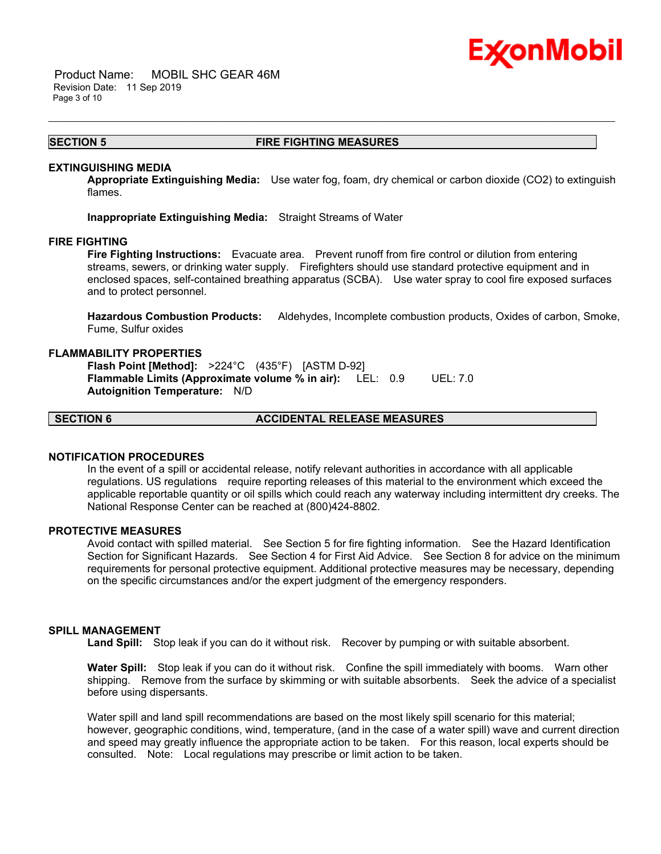

 Product Name: MOBIL SHC GEAR 46M Revision Date: 11 Sep 2019 Page 3 of 10

#### **SECTION 5 FIRE FIGHTING MEASURES**

\_\_\_\_\_\_\_\_\_\_\_\_\_\_\_\_\_\_\_\_\_\_\_\_\_\_\_\_\_\_\_\_\_\_\_\_\_\_\_\_\_\_\_\_\_\_\_\_\_\_\_\_\_\_\_\_\_\_\_\_\_\_\_\_\_\_\_\_\_\_\_\_\_\_\_\_\_\_\_\_\_\_\_\_\_\_\_\_\_\_\_\_\_\_\_\_\_\_\_\_\_\_\_\_\_\_\_\_\_\_\_\_\_\_\_\_\_\_

#### **EXTINGUISHING MEDIA**

**Appropriate Extinguishing Media:** Use water fog, foam, dry chemical or carbon dioxide (CO2) to extinguish flames.

**Inappropriate Extinguishing Media:** Straight Streams of Water

#### **FIRE FIGHTING**

**Fire Fighting Instructions:** Evacuate area. Prevent runoff from fire control or dilution from entering streams, sewers, or drinking water supply. Firefighters should use standard protective equipment and in enclosed spaces, self-contained breathing apparatus (SCBA). Use water spray to cool fire exposed surfaces and to protect personnel.

**Hazardous Combustion Products:** Aldehydes, Incomplete combustion products, Oxides of carbon, Smoke, Fume, Sulfur oxides

#### **FLAMMABILITY PROPERTIES**

**Flash Point [Method]:** >224°C (435°F) [ASTM D-92] **Flammable Limits (Approximate volume % in air):** LEL: 0.9 UEL: 7.0 **Autoignition Temperature:** N/D

**SECTION 6 ACCIDENTAL RELEASE MEASURES**

#### **NOTIFICATION PROCEDURES**

In the event of a spill or accidental release, notify relevant authorities in accordance with all applicable regulations. US regulations require reporting releases of this material to the environment which exceed the applicable reportable quantity or oil spills which could reach any waterway including intermittent dry creeks. The National Response Center can be reached at (800)424-8802.

#### **PROTECTIVE MEASURES**

Avoid contact with spilled material. See Section 5 for fire fighting information. See the Hazard Identification Section for Significant Hazards. See Section 4 for First Aid Advice. See Section 8 for advice on the minimum requirements for personal protective equipment. Additional protective measures may be necessary, depending on the specific circumstances and/or the expert judgment of the emergency responders.

#### **SPILL MANAGEMENT**

Land Spill: Stop leak if you can do it without risk. Recover by pumping or with suitable absorbent.

**Water Spill:** Stop leak if you can do it without risk. Confine the spill immediately with booms. Warn other shipping. Remove from the surface by skimming or with suitable absorbents. Seek the advice of a specialist before using dispersants.

Water spill and land spill recommendations are based on the most likely spill scenario for this material; however, geographic conditions, wind, temperature, (and in the case of a water spill) wave and current direction and speed may greatly influence the appropriate action to be taken. For this reason, local experts should be consulted. Note: Local regulations may prescribe or limit action to be taken.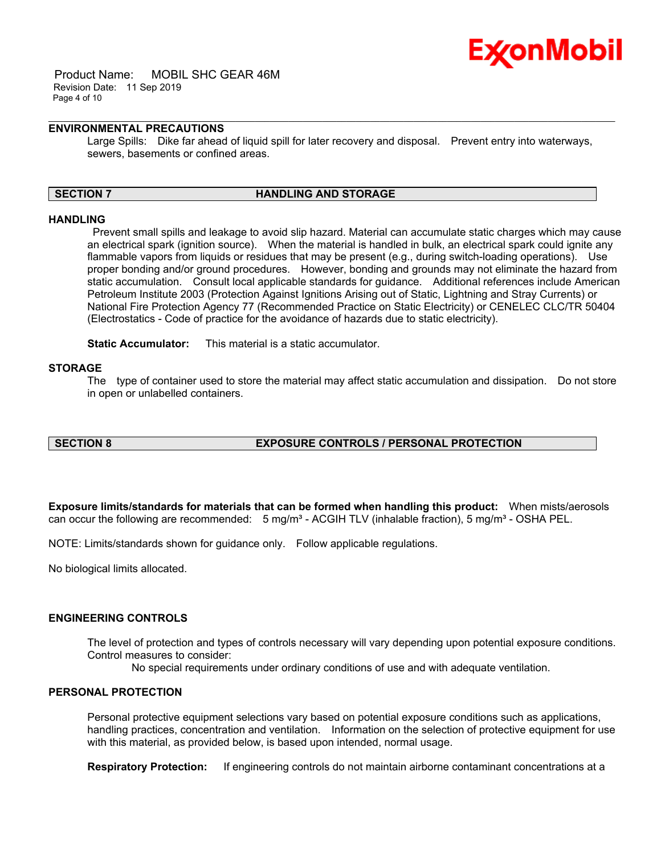

 Product Name: MOBIL SHC GEAR 46M Revision Date: 11 Sep 2019 Page 4 of 10

#### **ENVIRONMENTAL PRECAUTIONS**

Large Spills: Dike far ahead of liquid spill for later recovery and disposal. Prevent entry into waterways, sewers, basements or confined areas.

\_\_\_\_\_\_\_\_\_\_\_\_\_\_\_\_\_\_\_\_\_\_\_\_\_\_\_\_\_\_\_\_\_\_\_\_\_\_\_\_\_\_\_\_\_\_\_\_\_\_\_\_\_\_\_\_\_\_\_\_\_\_\_\_\_\_\_\_\_\_\_\_\_\_\_\_\_\_\_\_\_\_\_\_\_\_\_\_\_\_\_\_\_\_\_\_\_\_\_\_\_\_\_\_\_\_\_\_\_\_\_\_\_\_\_\_\_\_

#### **SECTION 7 HANDLING AND STORAGE**

#### **HANDLING**

 Prevent small spills and leakage to avoid slip hazard. Material can accumulate static charges which may cause an electrical spark (ignition source). When the material is handled in bulk, an electrical spark could ignite any flammable vapors from liquids or residues that may be present (e.g., during switch-loading operations). Use proper bonding and/or ground procedures. However, bonding and grounds may not eliminate the hazard from static accumulation. Consult local applicable standards for guidance. Additional references include American Petroleum Institute 2003 (Protection Against Ignitions Arising out of Static, Lightning and Stray Currents) or National Fire Protection Agency 77 (Recommended Practice on Static Electricity) or CENELEC CLC/TR 50404 (Electrostatics - Code of practice for the avoidance of hazards due to static electricity).

**Static Accumulator:** This material is a static accumulator.

#### **STORAGE**

The type of container used to store the material may affect static accumulation and dissipation. Do not store in open or unlabelled containers.

#### **SECTION 8 EXPOSURE CONTROLS / PERSONAL PROTECTION**

**Exposure limits/standards for materials that can be formed when handling this product:** When mists/aerosols can occur the following are recommended:  $5 \text{ mg/m}^3$  - ACGIH TLV (inhalable fraction),  $5 \text{ mg/m}^3$  - OSHA PEL.

NOTE: Limits/standards shown for guidance only. Follow applicable regulations.

No biological limits allocated.

#### **ENGINEERING CONTROLS**

The level of protection and types of controls necessary will vary depending upon potential exposure conditions. Control measures to consider:

No special requirements under ordinary conditions of use and with adequate ventilation.

## **PERSONAL PROTECTION**

Personal protective equipment selections vary based on potential exposure conditions such as applications, handling practices, concentration and ventilation. Information on the selection of protective equipment for use with this material, as provided below, is based upon intended, normal usage.

**Respiratory Protection:** If engineering controls do not maintain airborne contaminant concentrations at a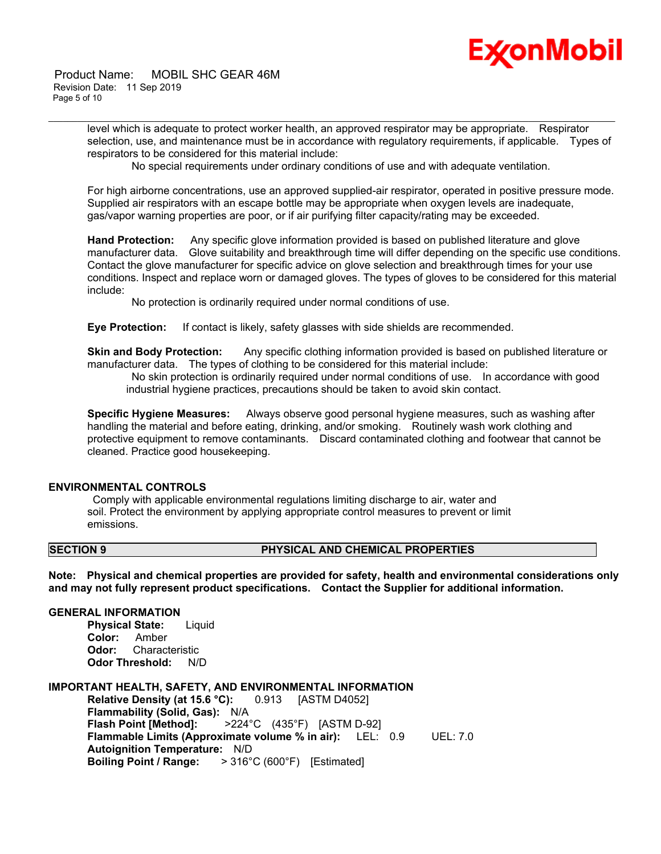# Ex⁄onMobil

 Product Name: MOBIL SHC GEAR 46M Revision Date: 11 Sep 2019 Page 5 of 10

> level which is adequate to protect worker health, an approved respirator may be appropriate. Respirator selection, use, and maintenance must be in accordance with regulatory requirements, if applicable. Types of respirators to be considered for this material include:

No special requirements under ordinary conditions of use and with adequate ventilation.

\_\_\_\_\_\_\_\_\_\_\_\_\_\_\_\_\_\_\_\_\_\_\_\_\_\_\_\_\_\_\_\_\_\_\_\_\_\_\_\_\_\_\_\_\_\_\_\_\_\_\_\_\_\_\_\_\_\_\_\_\_\_\_\_\_\_\_\_\_\_\_\_\_\_\_\_\_\_\_\_\_\_\_\_\_\_\_\_\_\_\_\_\_\_\_\_\_\_\_\_\_\_\_\_\_\_\_\_\_\_\_\_\_\_\_\_\_\_

For high airborne concentrations, use an approved supplied-air respirator, operated in positive pressure mode. Supplied air respirators with an escape bottle may be appropriate when oxygen levels are inadequate, gas/vapor warning properties are poor, or if air purifying filter capacity/rating may be exceeded.

**Hand Protection:** Any specific glove information provided is based on published literature and glove manufacturer data. Glove suitability and breakthrough time will differ depending on the specific use conditions. Contact the glove manufacturer for specific advice on glove selection and breakthrough times for your use conditions. Inspect and replace worn or damaged gloves. The types of gloves to be considered for this material include:

No protection is ordinarily required under normal conditions of use.

**Eye Protection:** If contact is likely, safety glasses with side shields are recommended.

**Skin and Body Protection:** Any specific clothing information provided is based on published literature or manufacturer data. The types of clothing to be considered for this material include:

 No skin protection is ordinarily required under normal conditions of use. In accordance with good industrial hygiene practices, precautions should be taken to avoid skin contact.

**Specific Hygiene Measures:** Always observe good personal hygiene measures, such as washing after handling the material and before eating, drinking, and/or smoking. Routinely wash work clothing and protective equipment to remove contaminants. Discard contaminated clothing and footwear that cannot be cleaned. Practice good housekeeping.

#### **ENVIRONMENTAL CONTROLS**

 Comply with applicable environmental regulations limiting discharge to air, water and soil. Protect the environment by applying appropriate control measures to prevent or limit emissions.

#### **SECTION 9 PHYSICAL AND CHEMICAL PROPERTIES**

**Note: Physical and chemical properties are provided for safety, health and environmental considerations only and may not fully represent product specifications. Contact the Supplier for additional information.**

#### **GENERAL INFORMATION**

**Physical State:** Liquid **Color:** Amber **Odor:** Characteristic **Odor Threshold:** N/D

#### **IMPORTANT HEALTH, SAFETY, AND ENVIRONMENTAL INFORMATION**

**Relative Density (at 15.6 °C):** 0.913 [ASTM D4052] **Flammability (Solid, Gas):** N/A **Flash Point [Method]:** >224°C (435°F) [ASTM D-92] **Flammable Limits (Approximate volume % in air):** LEL: 0.9 UEL: 7.0 **Autoignition Temperature:** N/D **Boiling Point / Range:** > 316°C (600°F) [Estimated]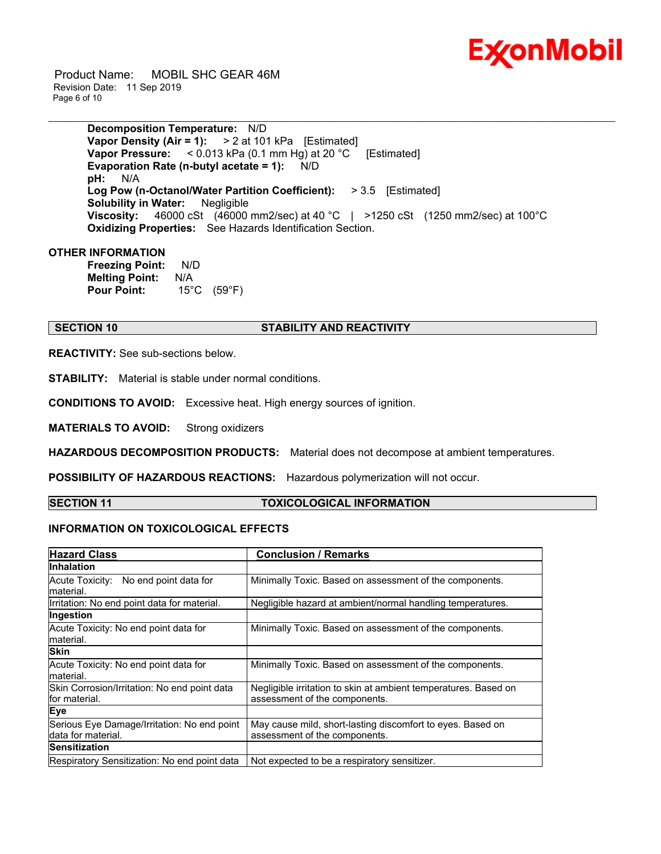

 Product Name: MOBIL SHC GEAR 46M Revision Date: 11 Sep 2019 Page 6 of 10

> **Decomposition Temperature:** N/D **Vapor Density (Air = 1):** > 2 at 101 kPa [Estimated] **Vapor Pressure:** < 0.013 kPa (0.1 mm Hg) at 20 °C [Estimated] **Evaporation Rate (n-butyl acetate = 1):** N/D **pH:** N/A **Log Pow (n-Octanol/Water Partition Coefficient):** > 3.5 [Estimated] **Solubility in Water:** Negligible **Viscosity:** 46000 cSt (46000 mm2/sec) at 40 °C | >1250 cSt (1250 mm2/sec) at 100°C **Oxidizing Properties:** See Hazards Identification Section.

\_\_\_\_\_\_\_\_\_\_\_\_\_\_\_\_\_\_\_\_\_\_\_\_\_\_\_\_\_\_\_\_\_\_\_\_\_\_\_\_\_\_\_\_\_\_\_\_\_\_\_\_\_\_\_\_\_\_\_\_\_\_\_\_\_\_\_\_\_\_\_\_\_\_\_\_\_\_\_\_\_\_\_\_\_\_\_\_\_\_\_\_\_\_\_\_\_\_\_\_\_\_\_\_\_\_\_\_\_\_\_\_\_\_\_\_\_\_

#### **OTHER INFORMATION**

**Freezing Point:** N/D **Melting Point:** N/A **Pour Point:** 15°C (59°F)

#### **SECTION 10 STABILITY AND REACTIVITY**

**REACTIVITY:** See sub-sections below.

**STABILITY:** Material is stable under normal conditions.

**CONDITIONS TO AVOID:** Excessive heat. High energy sources of ignition.

**MATERIALS TO AVOID:** Strong oxidizers

**HAZARDOUS DECOMPOSITION PRODUCTS:** Material does not decompose at ambient temperatures.

**POSSIBILITY OF HAZARDOUS REACTIONS:** Hazardous polymerization will not occur.

#### **SECTION 11 TOXICOLOGICAL INFORMATION**

## **INFORMATION ON TOXICOLOGICAL EFFECTS**

| <b>Hazard Class</b>                                               | <b>Conclusion / Remarks</b>                                                                      |  |  |
|-------------------------------------------------------------------|--------------------------------------------------------------------------------------------------|--|--|
| <b>Inhalation</b>                                                 |                                                                                                  |  |  |
| Acute Toxicity: No end point data for<br>lmaterial.               | Minimally Toxic. Based on assessment of the components.                                          |  |  |
| Irritation: No end point data for material.                       | Negligible hazard at ambient/normal handling temperatures.                                       |  |  |
| Ingestion                                                         |                                                                                                  |  |  |
| Acute Toxicity: No end point data for<br>material.                | Minimally Toxic. Based on assessment of the components.                                          |  |  |
| <b>Skin</b>                                                       |                                                                                                  |  |  |
| Acute Toxicity: No end point data for<br>lmaterial.               | Minimally Toxic. Based on assessment of the components.                                          |  |  |
| Skin Corrosion/Irritation: No end point data<br>for material.     | Negligible irritation to skin at ambient temperatures. Based on<br>assessment of the components. |  |  |
| Eye                                                               |                                                                                                  |  |  |
| Serious Eye Damage/Irritation: No end point<br>data for material. | May cause mild, short-lasting discomfort to eyes. Based on<br>assessment of the components.      |  |  |
| lSensitization                                                    |                                                                                                  |  |  |
| Respiratory Sensitization: No end point data                      | Not expected to be a respiratory sensitizer.                                                     |  |  |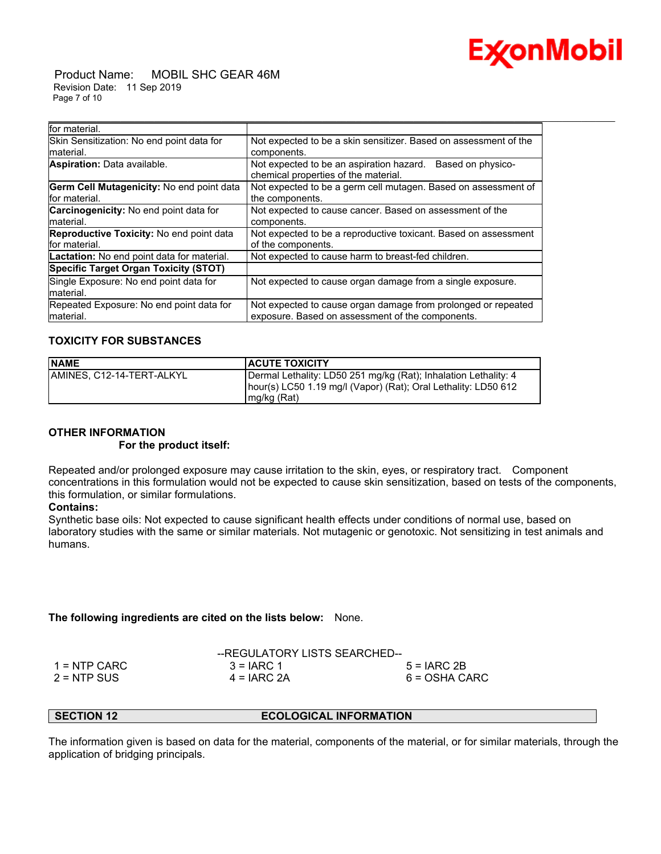

 Product Name: MOBIL SHC GEAR 46M Revision Date: 11 Sep 2019 Page 7 of 10

| for material.                                          |                                                                                                       |  |  |
|--------------------------------------------------------|-------------------------------------------------------------------------------------------------------|--|--|
| Skin Sensitization: No end point data for<br>material. | Not expected to be a skin sensitizer. Based on assessment of the<br>components.                       |  |  |
| Aspiration: Data available.                            | Not expected to be an aspiration hazard.<br>Based on physico-<br>chemical properties of the material. |  |  |
| Germ Cell Mutagenicity: No end point data              | Not expected to be a germ cell mutagen. Based on assessment of                                        |  |  |
| for material.                                          | the components.                                                                                       |  |  |
| <b>Carcinogenicity:</b> No end point data for          | Not expected to cause cancer. Based on assessment of the                                              |  |  |
| material.                                              | components.                                                                                           |  |  |
| Reproductive Toxicity: No end point data               | Not expected to be a reproductive toxicant. Based on assessment                                       |  |  |
| for material.                                          | of the components.                                                                                    |  |  |
| <b>Lactation:</b> No end point data for material.      | Not expected to cause harm to breast-fed children.                                                    |  |  |
| <b>Specific Target Organ Toxicity (STOT)</b>           |                                                                                                       |  |  |
| Single Exposure: No end point data for                 | Not expected to cause organ damage from a single exposure.                                            |  |  |
| material.                                              |                                                                                                       |  |  |
| Repeated Exposure: No end point data for               | Not expected to cause organ damage from prolonged or repeated                                         |  |  |
| material.                                              | exposure. Based on assessment of the components.                                                      |  |  |

\_\_\_\_\_\_\_\_\_\_\_\_\_\_\_\_\_\_\_\_\_\_\_\_\_\_\_\_\_\_\_\_\_\_\_\_\_\_\_\_\_\_\_\_\_\_\_\_\_\_\_\_\_\_\_\_\_\_\_\_\_\_\_\_\_\_\_\_\_\_\_\_\_\_\_\_\_\_\_\_\_\_\_\_\_\_\_\_\_\_\_\_\_\_\_\_\_\_\_\_\_\_\_\_\_\_\_\_\_\_\_\_\_\_\_\_\_\_

## **TOXICITY FOR SUBSTANCES**

| <b>NAME</b>               | <b>ACUTE TOXICITY</b>                                                                                                                              |
|---------------------------|----------------------------------------------------------------------------------------------------------------------------------------------------|
| AMINES. C12-14-TERT-ALKYL | Dermal Lethality: LD50 251 mg/kg (Rat); Inhalation Lethality: 4<br>hour(s) LC50 1.19 mg/l (Vapor) (Rat); Oral Lethality: LD50 612<br>$mg/kg$ (Rat) |

## **OTHER INFORMATION**

### **For the product itself:**

Repeated and/or prolonged exposure may cause irritation to the skin, eyes, or respiratory tract. Component concentrations in this formulation would not be expected to cause skin sensitization, based on tests of the components, this formulation, or similar formulations.

#### **Contains:**

Synthetic base oils: Not expected to cause significant health effects under conditions of normal use, based on laboratory studies with the same or similar materials. Not mutagenic or genotoxic. Not sensitizing in test animals and humans.

#### **The following ingredients are cited on the lists below:** None.

|                | --REGULATORY LISTS SEARCHED-- |               |
|----------------|-------------------------------|---------------|
| $1 =$ NTP CARC | $3 = IARC 1$                  | $5 = IARC2B$  |
| $2 =$ NTP SUS  | $4 = IARC 2A$                 | 6 = OSHA CARC |

#### **SECTION 12 ECOLOGICAL INFORMATION**

The information given is based on data for the material, components of the material, or for similar materials, through the application of bridging principals.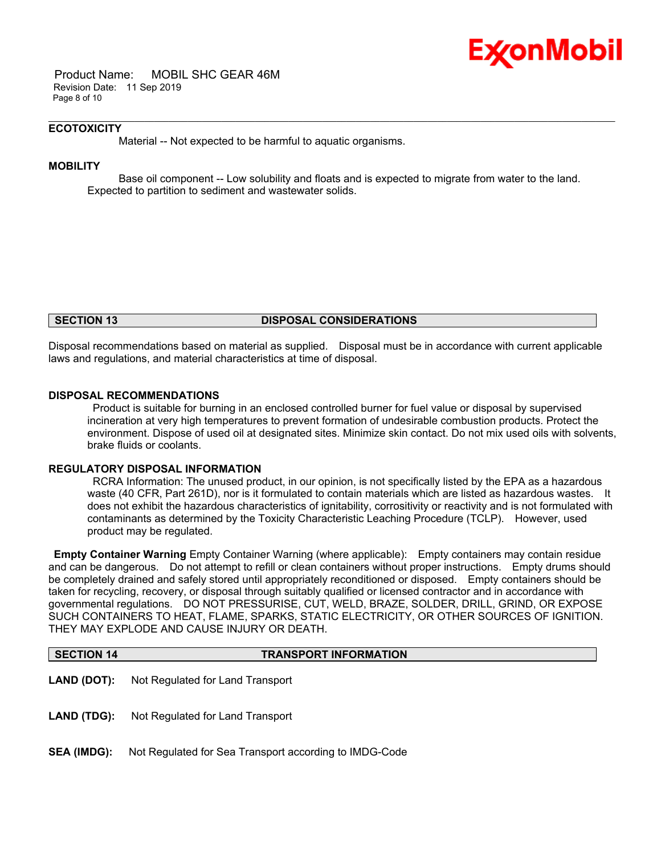

 Product Name: MOBIL SHC GEAR 46M Revision Date: 11 Sep 2019 Page 8 of 10

#### **ECOTOXICITY**

Material -- Not expected to be harmful to aquatic organisms.

#### **MOBILITY**

 Base oil component -- Low solubility and floats and is expected to migrate from water to the land. Expected to partition to sediment and wastewater solids.

\_\_\_\_\_\_\_\_\_\_\_\_\_\_\_\_\_\_\_\_\_\_\_\_\_\_\_\_\_\_\_\_\_\_\_\_\_\_\_\_\_\_\_\_\_\_\_\_\_\_\_\_\_\_\_\_\_\_\_\_\_\_\_\_\_\_\_\_\_\_\_\_\_\_\_\_\_\_\_\_\_\_\_\_\_\_\_\_\_\_\_\_\_\_\_\_\_\_\_\_\_\_\_\_\_\_\_\_\_\_\_\_\_\_\_\_\_\_

#### **SECTION 13 DISPOSAL CONSIDERATIONS**

Disposal recommendations based on material as supplied. Disposal must be in accordance with current applicable laws and regulations, and material characteristics at time of disposal.

#### **DISPOSAL RECOMMENDATIONS**

 Product is suitable for burning in an enclosed controlled burner for fuel value or disposal by supervised incineration at very high temperatures to prevent formation of undesirable combustion products. Protect the environment. Dispose of used oil at designated sites. Minimize skin contact. Do not mix used oils with solvents, brake fluids or coolants.

#### **REGULATORY DISPOSAL INFORMATION**

 RCRA Information: The unused product, in our opinion, is not specifically listed by the EPA as a hazardous waste (40 CFR, Part 261D), nor is it formulated to contain materials which are listed as hazardous wastes. It does not exhibit the hazardous characteristics of ignitability, corrositivity or reactivity and is not formulated with contaminants as determined by the Toxicity Characteristic Leaching Procedure (TCLP). However, used product may be regulated.

**Empty Container Warning** Empty Container Warning (where applicable): Empty containers may contain residue and can be dangerous. Do not attempt to refill or clean containers without proper instructions. Empty drums should be completely drained and safely stored until appropriately reconditioned or disposed. Empty containers should be taken for recycling, recovery, or disposal through suitably qualified or licensed contractor and in accordance with governmental regulations. DO NOT PRESSURISE, CUT, WELD, BRAZE, SOLDER, DRILL, GRIND, OR EXPOSE SUCH CONTAINERS TO HEAT, FLAME, SPARKS, STATIC ELECTRICITY, OR OTHER SOURCES OF IGNITION. THEY MAY EXPLODE AND CAUSE INJURY OR DEATH.

## **SECTION 14 TRANSPORT INFORMATION**

- **LAND (DOT):** Not Regulated for Land Transport
- **LAND (TDG):** Not Regulated for Land Transport
- **SEA (IMDG):** Not Regulated for Sea Transport according to IMDG-Code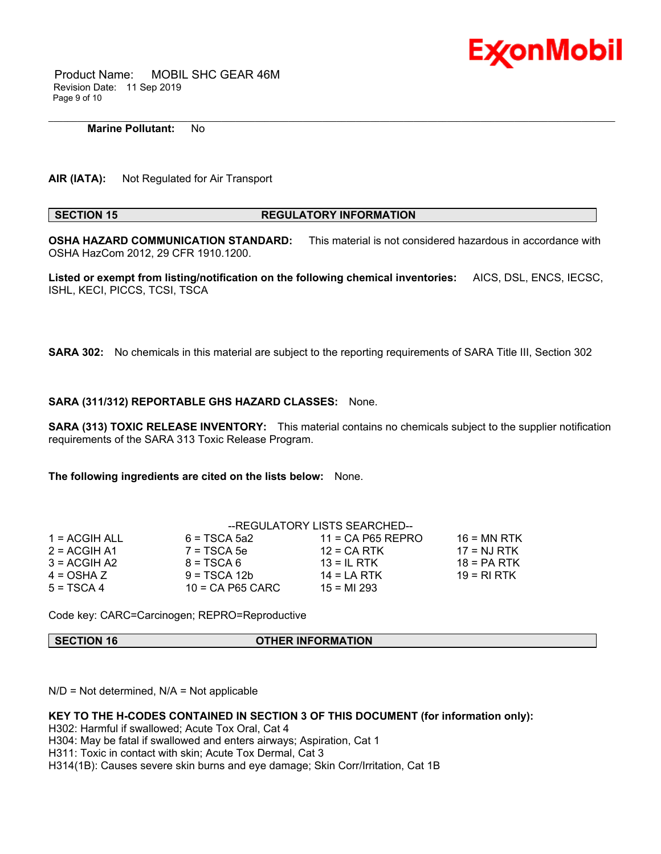

 Product Name: MOBIL SHC GEAR 46M Revision Date: 11 Sep 2019 Page 9 of 10

#### **Marine Pollutant:** No

**AIR (IATA):** Not Regulated for Air Transport

#### **SECTION 15 REGULATORY INFORMATION**

\_\_\_\_\_\_\_\_\_\_\_\_\_\_\_\_\_\_\_\_\_\_\_\_\_\_\_\_\_\_\_\_\_\_\_\_\_\_\_\_\_\_\_\_\_\_\_\_\_\_\_\_\_\_\_\_\_\_\_\_\_\_\_\_\_\_\_\_\_\_\_\_\_\_\_\_\_\_\_\_\_\_\_\_\_\_\_\_\_\_\_\_\_\_\_\_\_\_\_\_\_\_\_\_\_\_\_\_\_\_\_\_\_\_\_\_\_\_

**OSHA HAZARD COMMUNICATION STANDARD:** This material is not considered hazardous in accordance with OSHA HazCom 2012, 29 CFR 1910.1200.

**Listed or exempt from listing/notification on the following chemical inventories:** AICS, DSL, ENCS, IECSC, ISHL, KECI, PICCS, TCSI, TSCA

**SARA 302:** No chemicals in this material are subject to the reporting requirements of SARA Title III, Section 302

#### **SARA (311/312) REPORTABLE GHS HAZARD CLASSES:** None.

**SARA (313) TOXIC RELEASE INVENTORY:** This material contains no chemicals subject to the supplier notification requirements of the SARA 313 Toxic Release Program.

**The following ingredients are cited on the lists below:** None.

|                 | --REGULATORY LISTS SEARCHED-- |                     |               |  |
|-----------------|-------------------------------|---------------------|---------------|--|
| $1 = ACGIH ALL$ | $6 = TSCA 5a2$                | $11 = CA$ P65 REPRO | $16$ = MN RTK |  |
| $2 = ACGIH A1$  | $7 = TSCA5e$                  | $12 = CA RTK$       | $17 = NJ RTK$ |  |
| $3 = ACGIH A2$  | $8 = TSCA6$                   | $13 = IL$ RTK       | $18 = PA RTK$ |  |
| $4 = OSHA Z$    | $9 = TSCA 12b$                | $14 = LA RTK$       | 19 = RI RTK   |  |
| $5 = TSCA4$     | $10$ = CA P65 CARC            | $15 = M1 293$       |               |  |

Code key: CARC=Carcinogen; REPRO=Reproductive

#### **SECTION 16 OTHER INFORMATION**

 $N/D$  = Not determined,  $N/A$  = Not applicable

## **KEY TO THE H-CODES CONTAINED IN SECTION 3 OF THIS DOCUMENT (for information only):**

H302: Harmful if swallowed; Acute Tox Oral, Cat 4

H304: May be fatal if swallowed and enters airways; Aspiration, Cat 1

H311: Toxic in contact with skin; Acute Tox Dermal, Cat 3

H314(1B): Causes severe skin burns and eye damage; Skin Corr/Irritation, Cat 1B